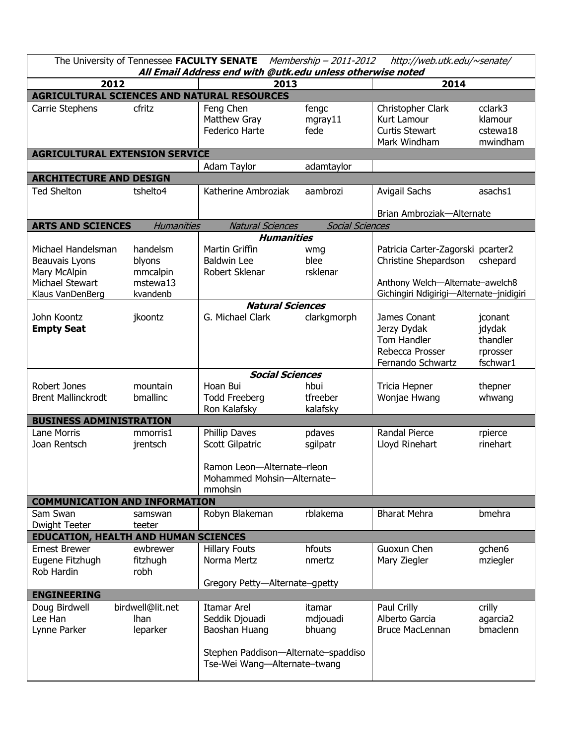| The University of Tennessee FACULTY SENATE<br>Membership - 2011-2012<br>http://web.utk.edu/~senate/<br>All Email Address end with @utk.edu unless otherwise noted |                                                        |                                                                                                                              |                              |                                                                                                                                          |                                                       |  |  |  |  |
|-------------------------------------------------------------------------------------------------------------------------------------------------------------------|--------------------------------------------------------|------------------------------------------------------------------------------------------------------------------------------|------------------------------|------------------------------------------------------------------------------------------------------------------------------------------|-------------------------------------------------------|--|--|--|--|
| 2012                                                                                                                                                              |                                                        | 2013                                                                                                                         |                              | 2014                                                                                                                                     |                                                       |  |  |  |  |
| AGRICULTURAL SCIENCES AND NATURAL RESOURCES                                                                                                                       |                                                        |                                                                                                                              |                              |                                                                                                                                          |                                                       |  |  |  |  |
| Carrie Stephens                                                                                                                                                   | cfritz                                                 | Feng Chen<br>Matthew Gray<br>Federico Harte                                                                                  | fengc<br>mgray11<br>fede     | Christopher Clark<br><b>Kurt Lamour</b><br><b>Curtis Stewart</b><br>Mark Windham                                                         | cclark3<br>klamour<br>cstewa18<br>mwindham            |  |  |  |  |
| <b>AGRICULTURAL EXTENSION SERVICE</b>                                                                                                                             |                                                        |                                                                                                                              |                              |                                                                                                                                          |                                                       |  |  |  |  |
|                                                                                                                                                                   |                                                        | Adam Taylor                                                                                                                  | adamtaylor                   |                                                                                                                                          |                                                       |  |  |  |  |
| <b>ARCHITECTURE AND DESIGN</b>                                                                                                                                    |                                                        |                                                                                                                              |                              |                                                                                                                                          |                                                       |  |  |  |  |
| <b>Ted Shelton</b>                                                                                                                                                | tshelto4                                               | Katherine Ambroziak                                                                                                          | aambrozi                     | <b>Avigail Sachs</b><br>Brian Ambroziak-Alternate                                                                                        | asachs1                                               |  |  |  |  |
| <b>ARTS AND SCIENCES</b>                                                                                                                                          | <b>Humanities</b>                                      | <b>Natural Sciences</b>                                                                                                      | <b>Social Sciences</b>       |                                                                                                                                          |                                                       |  |  |  |  |
| <b>Humanities</b>                                                                                                                                                 |                                                        |                                                                                                                              |                              |                                                                                                                                          |                                                       |  |  |  |  |
| Michael Handelsman<br>Beauvais Lyons<br>Mary McAlpin<br>Michael Stewart<br>Klaus VanDenBerg                                                                       | handelsm<br>blyons<br>mmcalpin<br>mstewa13<br>kvandenb | Martin Griffin<br><b>Baldwin Lee</b><br>Robert Sklenar                                                                       | wmg<br>blee<br>rsklenar      | Patricia Carter-Zagorski pcarter2<br>Christine Shepardson<br>Anthony Welch-Alternate-awelch8<br>Gichingiri Ndigirigi-Alternate-jnidigiri | cshepard                                              |  |  |  |  |
|                                                                                                                                                                   | <b>Natural Sciences</b>                                |                                                                                                                              |                              |                                                                                                                                          |                                                       |  |  |  |  |
| John Koontz<br><b>Empty Seat</b>                                                                                                                                  | jkoontz                                                | G. Michael Clark                                                                                                             | clarkgmorph                  | James Conant<br>Jerzy Dydak<br>Tom Handler<br>Rebecca Prosser<br>Fernando Schwartz                                                       | jconant<br>jdydak<br>thandler<br>rprosser<br>fschwar1 |  |  |  |  |
| <b>Social Sciences</b>                                                                                                                                            |                                                        |                                                                                                                              |                              |                                                                                                                                          |                                                       |  |  |  |  |
| Robert Jones<br><b>Brent Mallinckrodt</b>                                                                                                                         | mountain<br>bmallinc                                   | Hoan Bui<br><b>Todd Freeberg</b><br>Ron Kalafsky                                                                             | hbui<br>tfreeber<br>kalafsky | Tricia Hepner<br>Wonjae Hwang                                                                                                            | thepner<br>whwang                                     |  |  |  |  |
| <b>BUSINESS ADMINISTRATION</b>                                                                                                                                    |                                                        |                                                                                                                              |                              |                                                                                                                                          |                                                       |  |  |  |  |
| Lane Morris<br>Joan Rentsch                                                                                                                                       | mmorris1<br>jrentsch                                   | Phillip Daves<br>Scott Gilpatric<br>Ramon Leon-Alternate-rleon<br>Mohammed Mohsin-Alternate-                                 | pdaves<br>sgilpatr           | <b>Randal Pierce</b><br>Lloyd Rinehart                                                                                                   | rpierce<br>rinehart                                   |  |  |  |  |
|                                                                                                                                                                   |                                                        | mmohsin                                                                                                                      |                              |                                                                                                                                          |                                                       |  |  |  |  |
| <b>COMMUNICATION AND INFORMATION</b>                                                                                                                              |                                                        |                                                                                                                              |                              |                                                                                                                                          |                                                       |  |  |  |  |
| Sam Swan<br>Dwight Teeter                                                                                                                                         | samswan<br>teeter                                      | Robyn Blakeman                                                                                                               | rblakema                     | <b>Bharat Mehra</b>                                                                                                                      | bmehra                                                |  |  |  |  |
| <b>EDUCATION, HEALTH AND HUMAN SCIENCES</b>                                                                                                                       |                                                        |                                                                                                                              |                              |                                                                                                                                          |                                                       |  |  |  |  |
| <b>Ernest Brewer</b><br>Eugene Fitzhugh<br>Rob Hardin                                                                                                             | ewbrewer<br>fitzhugh<br>robh                           | <b>Hillary Fouts</b><br>Norma Mertz                                                                                          | hfouts<br>nmertz             | Guoxun Chen<br>Mary Ziegler                                                                                                              | gchen6<br>mziegler                                    |  |  |  |  |
| Gregory Petty-Alternate-gpetty                                                                                                                                    |                                                        |                                                                                                                              |                              |                                                                                                                                          |                                                       |  |  |  |  |
| <b>ENGINEERING</b><br>Doug Birdwell<br>Lee Han<br>Lynne Parker                                                                                                    | birdwell@lit.net<br><b>Ihan</b><br>leparker            | <b>Itamar Arel</b><br>Seddik Djouadi<br>Baoshan Huang<br>Stephen Paddison-Alternate-spaddiso<br>Tse-Wei Wang-Alternate-twang | itamar<br>mdjouadi<br>bhuang | Paul Crilly<br>Alberto Garcia<br><b>Bruce MacLennan</b>                                                                                  | crilly<br>agarcia2<br>bmaclenn                        |  |  |  |  |